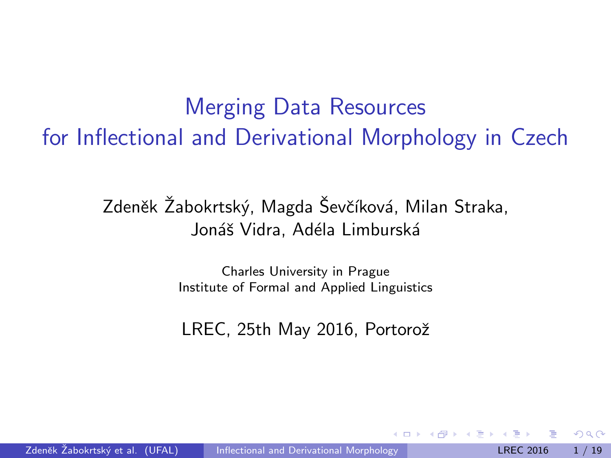Merging Data Resources for Inflectional and Derivational Morphology in Czech

> Zdeněk Žabokrtský, Magda Ševčíková, Milan Straka, Jonáš Vidra, Adéla Limburská

> > Charles University in Prague Institute of Formal and Applied Linguistics

> > <span id="page-0-0"></span>LREC, 25th May 2016, Portorož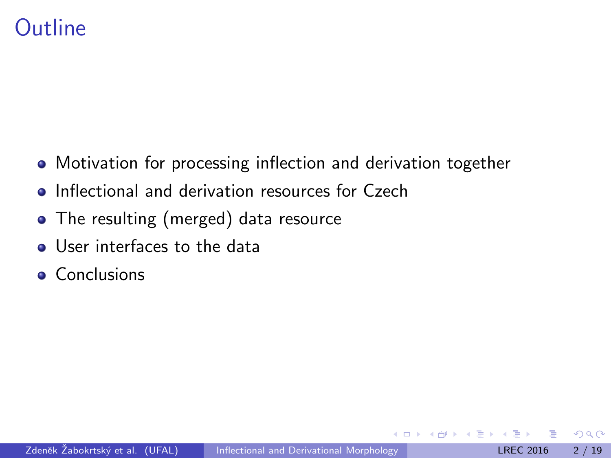# Outline

- Motivation for processing inflection and derivation together
- **•** Inflectional and derivation resources for Czech
- The resulting (merged) data resource
- **.** User interfaces to the data
- **Conclusions**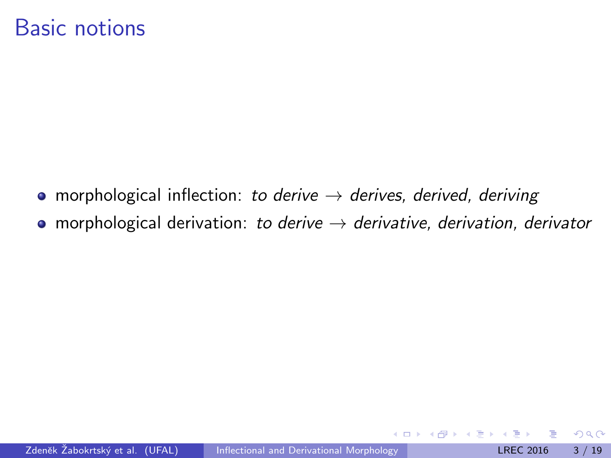#### Basic notions

- morphological inflection: to derive  $\rightarrow$  derives, derived, deriving
- morphological derivation: to derive  $\rightarrow$  derivative, derivation, derivator

4 **D** F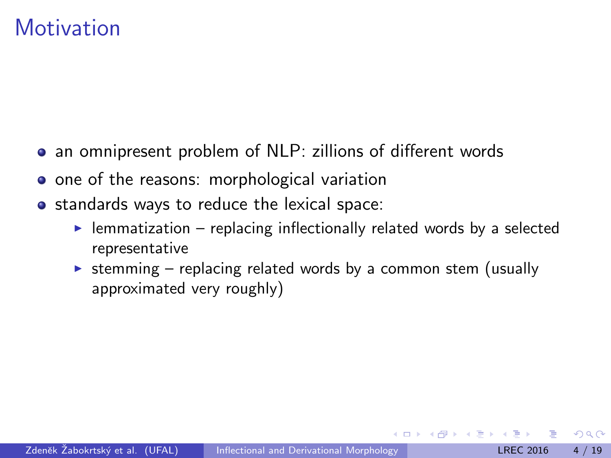#### **Motivation**

- an omnipresent problem of NLP: zillions of different words
- o one of the reasons: morphological variation
- standards ways to reduce the lexical space:
	- $\blacktriangleright$  lemmatization replacing inflectionally related words by a selected representative
	- $\triangleright$  stemming replacing related words by a common stem (usually approximated very roughly)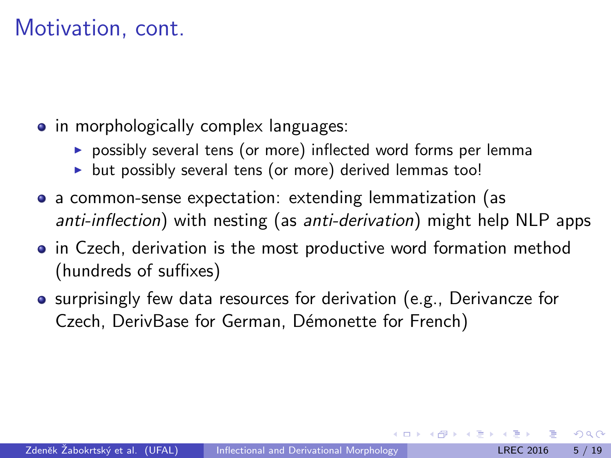## Motivation, cont.

- in morphologically complex languages:
	- $\triangleright$  possibly several tens (or more) inflected word forms per lemma
	- $\triangleright$  but possibly several tens (or more) derived lemmas too!
- a common-sense expectation: extending lemmatization (as anti-inflection) with nesting (as anti-derivation) might help NLP apps
- in Czech, derivation is the most productive word formation method (hundreds of suffixes)
- **•** surprisingly few data resources for derivation (e.g., Derivancze for Czech, DerivBase for German, Démonette for French)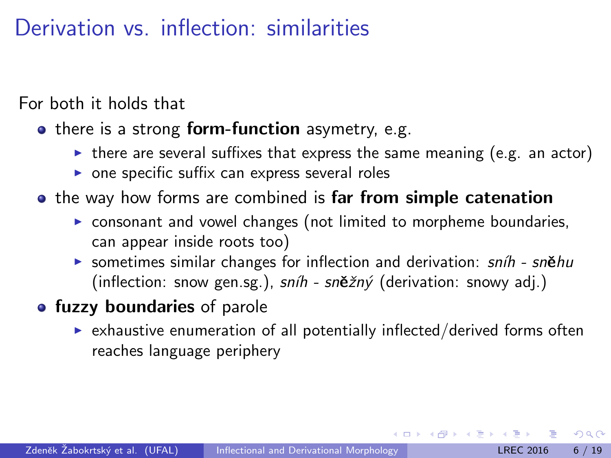# Derivation vs. inflection: similarities

For both it holds that

- $\bullet$  there is a strong form-function asymetry, e.g.
	- $\triangleright$  there are several suffixes that express the same meaning (e.g. an actor)
	- $\triangleright$  one specific suffix can express several roles
- **•** the way how forms are combined is far from simple catenation
	- $\triangleright$  consonant and vowel changes (not limited to morpheme boundaries, can appear inside roots too)
	- **E** sometimes similar changes for inflection and derivation:  $snih$  sněhu (inflection: snow gen.sg.),  $snih$  -  $sn\check{e}zn\check{y}$  (derivation: snowy adj.)
- **fuzzy boundaries** of parole
	- $\triangleright$  exhaustive enumeration of all potentially inflected/derived forms often reaches language periphery

 $\Omega$ 

医单位 医单位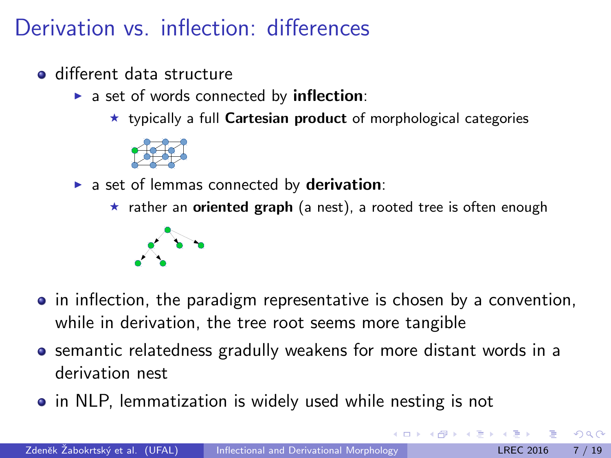# Derivation vs. inflection: differences

- different data structure
	- $\triangleright$  a set of words connected by inflection:
		- $\star$  typically a full Cartesian product of morphological categories



 $\blacktriangleright$  a set of lemmas connected by derivation:

 $\star$  rather an oriented graph (a nest), a rooted tree is often enough



- in inflection, the paradigm representative is chosen by a convention, while in derivation, the tree root seems more tangible
- **•** semantic relatedness gradully weakens for more distant words in a derivation nest
- in NLP, lemmatization is widely used while nesting is not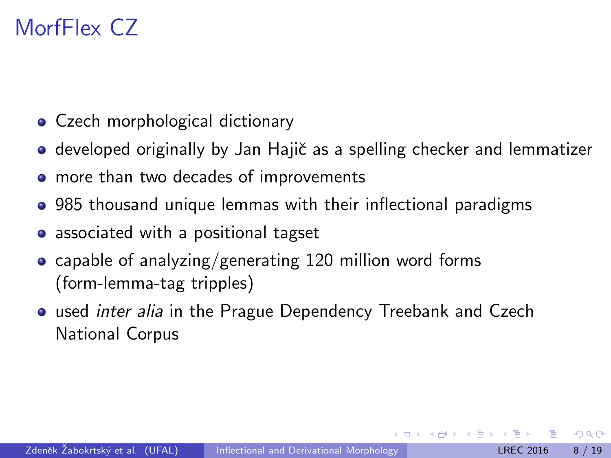# MorfFlex CZ

- Czech morphological dictionary
- developed originally by Jan Hajič as a spelling checker and lemmatizer
- more than two decades of improvements
- 985 thousand unique lemmas with their inflectional paradigms
- associated with a positional tagset
- capable of analyzing/generating 120 million word forms (form-lemma-tag tripples)
- **•** used *inter alia* in the Prague Dependency Treebank and Czech National Corpus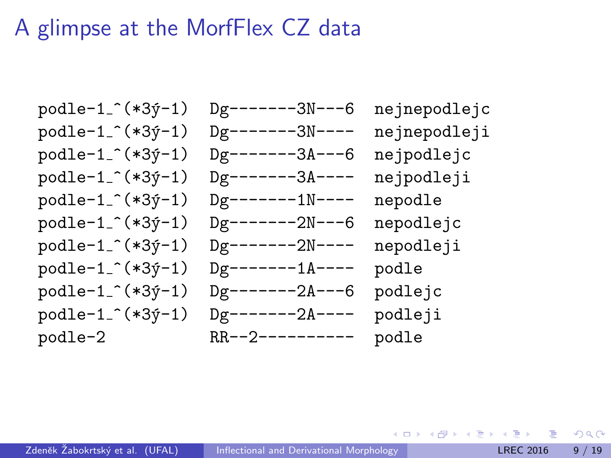#### A glimpse at the MorfFlex CZ data

podle-1\_^(\*3ý-1) Dg-------3N---6 nejnepodlejc podle-1\_^(\*3ý-1) Dg-------3N---- nejnepodleji  $podule-1 ^ ( *3y-1)$  Dg-------3A---6 nejpodlejc podle-1\_^(\*3ý-1) Dg-------3A---- nejpodleji  $podle-1 ^ ( *3y-1)$  Dg-------1N---- nepodle podle-1\_^(\*3ý-1) Dg-------2N---6 nepodlejc podle-1\_^(\*3ý-1) Dg-------2N---- nepodleji podle-1\_^(\*3ý-1) Dg-------1A---- podle podle-1\_^(\*3ý-1) Dg-------2A---6 podlejc podle-1\_^(\*3ý-1) Dg-------2A---- podleji podle-2 RR--2---------- podle

イロト イ押ト イヨト イヨト

 $QQQ$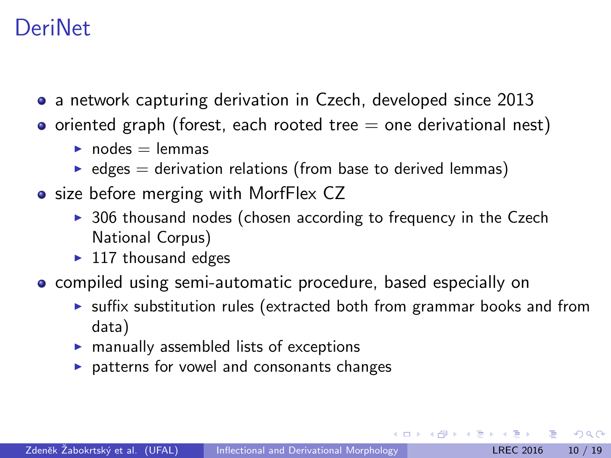#### **DeriNet**

- a network capturing derivation in Czech, developed since 2013
- $\bullet$  oriented graph (forest, each rooted tree  $=$  one derivational nest)
	- $\blacktriangleright$  nodes = lemmas
	- $\triangleright$  edges = derivation relations (from base to derived lemmas)
- size before merging with MorfFlex CZ
	- $\triangleright$  306 thousand nodes (chosen according to frequency in the Czech National Corpus)
	- $\blacktriangleright$  117 thousand edges
- **compiled using semi-automatic procedure, based especially on** 
	- $\triangleright$  suffix substitution rules (extracted both from grammar books and from data)
	- $\triangleright$  manually assembled lists of exceptions
	- $\triangleright$  patterns for vowel and consonants changes

 $\Omega$ 

 $\mathbf{A} \oplus \mathbf{B}$   $\mathbf{A} \oplus \mathbf{B}$   $\mathbf{A} \oplus \mathbf{B}$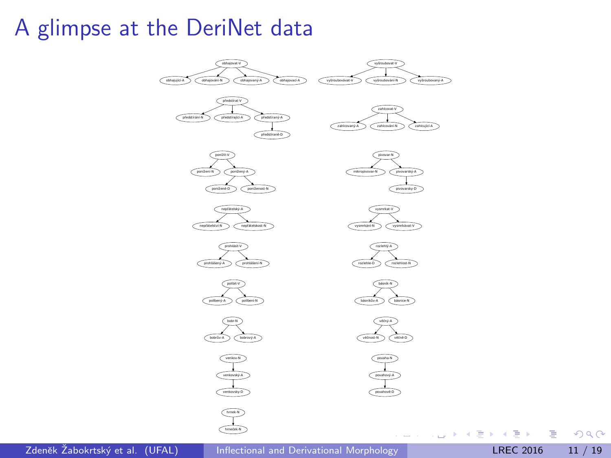#### A glimpse at the DeriNet data



Zdeněk Žabokrtský et al. (UFAL) inflectional and Derivational Morphology **Later 11 / 19** LREC 2016 11 / 19

画

 $298$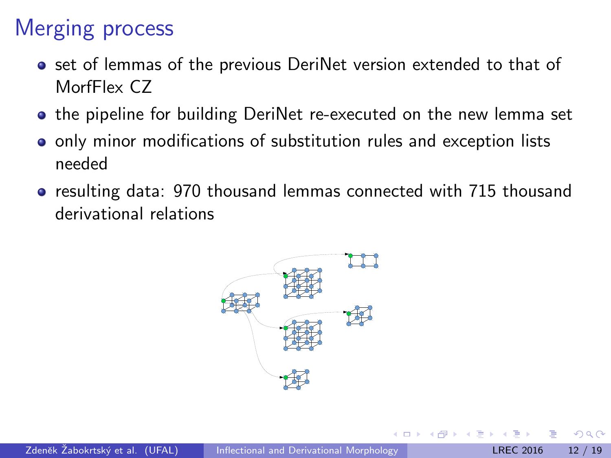# Merging process

- **•** set of lemmas of the previous DeriNet version extended to that of MorfFlex CZ
- **•** the pipeline for building DeriNet re-executed on the new lemma set
- o only minor modifications of substitution rules and exception lists needed
- resulting data: 970 thousand lemmas connected with 715 thousand derivational relations



つひひ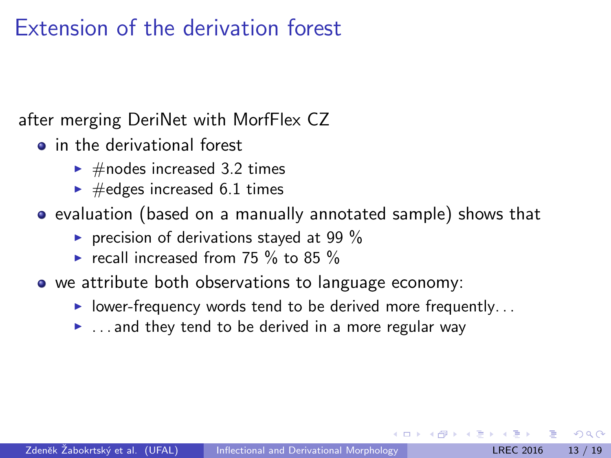# Extension of the derivation forest

after merging DeriNet with MorfFlex CZ

- **o** in the derivational forest
	- $\blacktriangleright$  #nodes increased 3.2 times
	- $\blacktriangleright$  #edges increased 6.1 times
- evaluation (based on a manually annotated sample) shows that
	- recision of derivations stayed at 99  $%$
	- recall increased from 75  $\%$  to 85  $\%$
- we attribute both observations to language economy:
	- $\blacktriangleright$  lower-frequency words tend to be derived more frequently...
	- $\blacktriangleright$  ... and they tend to be derived in a more regular way

つへへ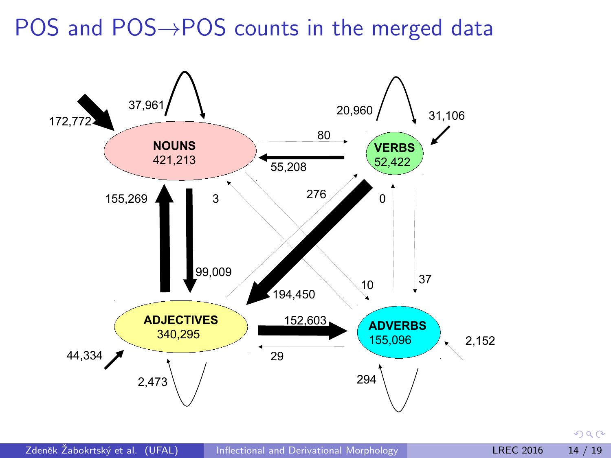POS and POS→POS counts in the merged data



 $298$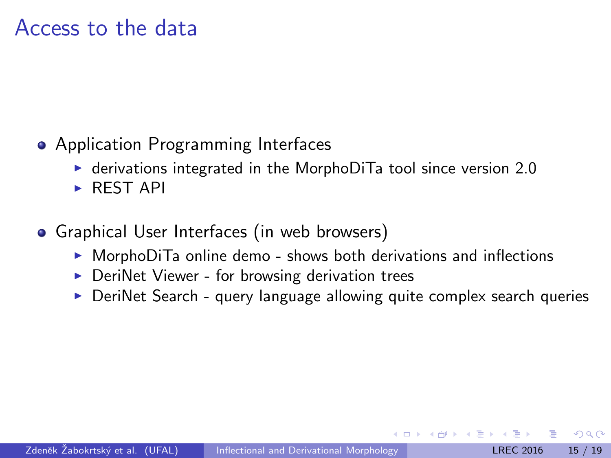#### Access to the data

- **Application Programming Interfaces** 
	- $\triangleright$  derivations integrated in the MorphoDiTa tool since version 2.0
	- $\triangleright$  REST API
- **•** Graphical User Interfaces (in web browsers)
	- $\triangleright$  MorphoDiTa online demo shows both derivations and inflections
	- $\triangleright$  DeriNet Viewer for browsing derivation trees
	- $\triangleright$  DeriNet Search query language allowing quite complex search queries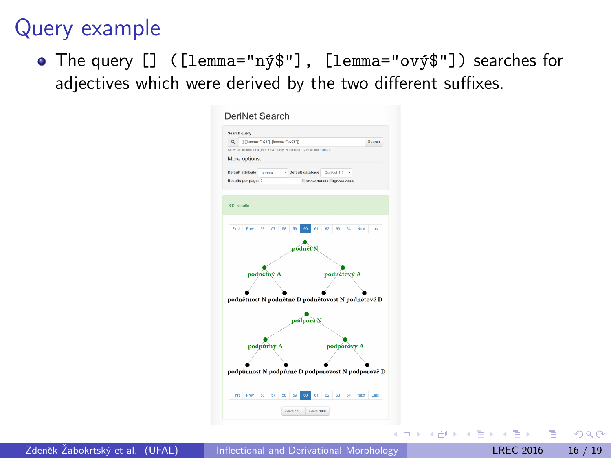#### Query example

• The query [] ([lemma="ný\$"], [lemma="ový\$"]) searches for adjectives which were derived by the two different suffixes.

| Search query                                                            |                           |             |         |              |
|-------------------------------------------------------------------------|---------------------------|-------------|---------|--------------|
| Q (illemman'm)\$"), lemman"ovi\$");                                     |                           |             |         | Search       |
| Show all clusters for a given CQL query. Need help? Consult the manual. |                           |             |         |              |
| More options:                                                           |                           |             |         |              |
| Default attribute<br>Inmma                                              | v Default database        | DeriNet 1.1 |         |              |
| Results per page: 2                                                     | Show details lignore case |             |         |              |
|                                                                         |                           |             |         |              |
|                                                                         |                           |             |         |              |
| 312 results.                                                            |                           |             |         |              |
|                                                                         |                           |             |         |              |
| First<br>Prev<br>56<br>57<br>58<br>69                                   | RΩ<br>A1                  | 63<br>ю     | 64      | Next<br>Last |
|                                                                         |                           |             |         |              |
|                                                                         |                           |             |         |              |
| podnětný A                                                              |                           | podnětový A |         |              |
|                                                                         | podpora N                 |             |         |              |
|                                                                         |                           |             |         |              |
| podnětnost N podnětně D podnětovost N podnětově D<br>podpůrný A         |                           |             |         |              |
|                                                                         |                           | podporový A |         |              |
|                                                                         |                           |             |         |              |
|                                                                         |                           |             |         |              |
| podpůrnost N podpůrně D podporovost N podporově D                       |                           |             |         |              |
| First.<br>Prev.<br>66<br>67<br>68<br>60                                 | œ<br>61                   | 65<br>62    | 64 Next | Last         |
|                                                                         |                           |             |         |              |

Zdeněk Žabokrtský et al. (UFAL) inflectional and Derivational Morphology Christian LREC 2016 16 / 19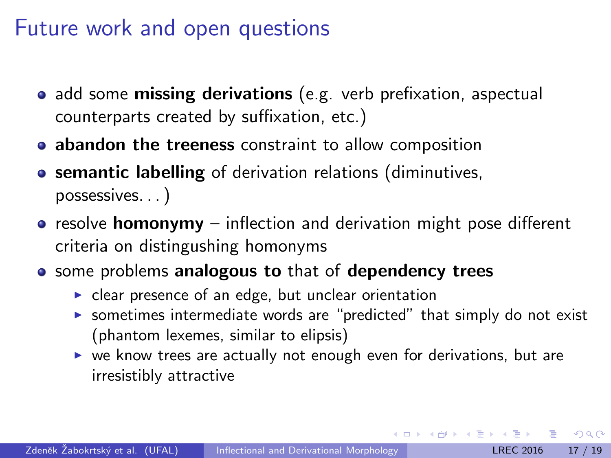#### Future work and open questions

- add some **missing derivations** (e.g. verb prefixation, aspectual counterparts created by suffixation, etc.)
- **abandon the treeness** constraint to allow composition
- **o** semantic labelling of derivation relations (diminutives, possessives. . . )
- $\bullet$  resolve **homonymy** inflection and derivation might pose different criteria on distingushing homonyms
- **•** some problems analogous to that of dependency trees
	- $\triangleright$  clear presence of an edge, but unclear orientation
	- $\triangleright$  sometimes intermediate words are "predicted" that simply do not exist (phantom lexemes, similar to elipsis)
	- $\triangleright$  we know trees are actually not enough even for derivations, but are irresistibly attractive

 $QQQ$ 

KONKAPIK KENYEN E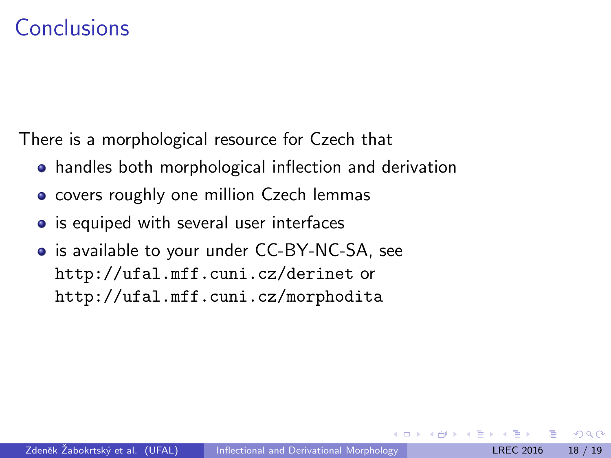#### Conclusions

There is a morphological resource for Czech that

- handles both morphological inflection and derivation
- covers roughly one million Czech lemmas
- is equiped with several user interfaces
- **o** is available to your under CC-BY-NC-SA, see http://ufal.mff.cuni.cz/derinet or http://ufal.mff.cuni.cz/morphodita